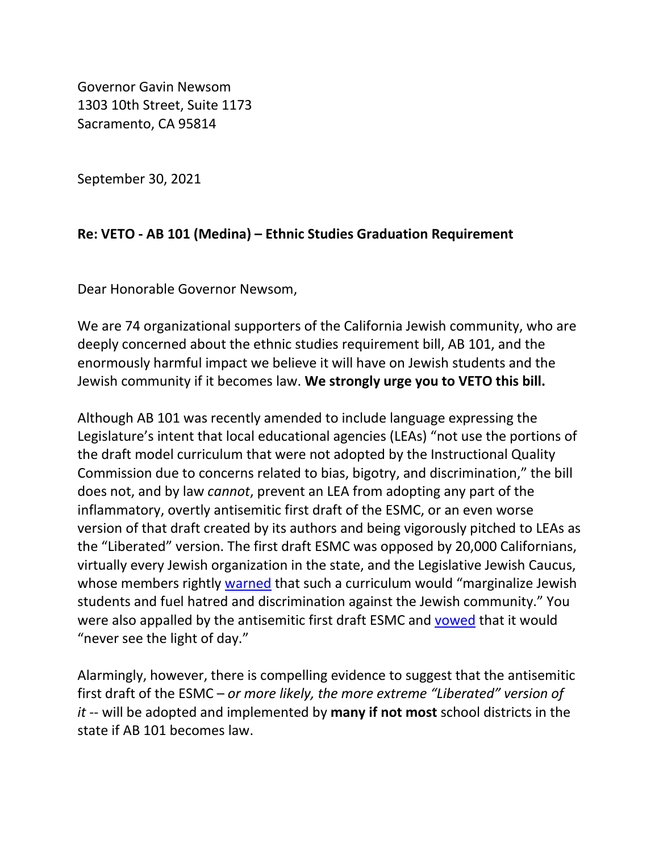Governor Gavin Newsom 1303 10th Street, Suite 1173 Sacramento, CA 95814

September 30, 2021

## **Re: VETO - AB 101 (Medina) – Ethnic Studies Graduation Requirement**

Dear Honorable Governor Newsom,

We are 74 organizational supporters of the California Jewish community, who are deeply concerned about the ethnic studies requirement bill, AB 101, and the enormously harmful impact we believe it will have on Jewish students and the Jewish community if it becomes law. **We strongly urge you to VETO this bill.**

Although AB 101 was recently amended to include language expressing the Legislature's intent that local educational agencies (LEAs) "not use the portions of the draft model curriculum that were not adopted by the Instructional Quality Commission due to concerns related to bias, bigotry, and discrimination," the bill does not, and by law *cannot*, prevent an LEA from adopting any part of the inflammatory, overtly antisemitic first draft of the ESMC, or an even worse version of that draft created by its authors and being vigorously pitched to LEAs as the "Liberated" version. The first draft ESMC was opposed by 20,000 Californians, virtually every Jewish organization in the state, and the Legislative Jewish Caucus, whose members rightly [warned](https://drive.google.com/file/d/1_LNvdDqJa0A-ougc9deePJ-XyB7JurNz/view) that such a curriculum would "marginalize Jewish students and fuel hatred and discrimination against the Jewish community." You were also appalled by the antisemitic first draft ESMC and [vowed](https://www.jweekly.com/2019/08/23/in-face-to-face-with-gov-newsom-strong-support-for-jewish-concerns/) that it would "never see the light of day."

Alarmingly, however, there is compelling evidence to suggest that the antisemitic first draft of the ESMC – *or more likely, the more extreme "Liberated" version of it* -- will be adopted and implemented by **many if not most** school districts in the state if AB 101 becomes law.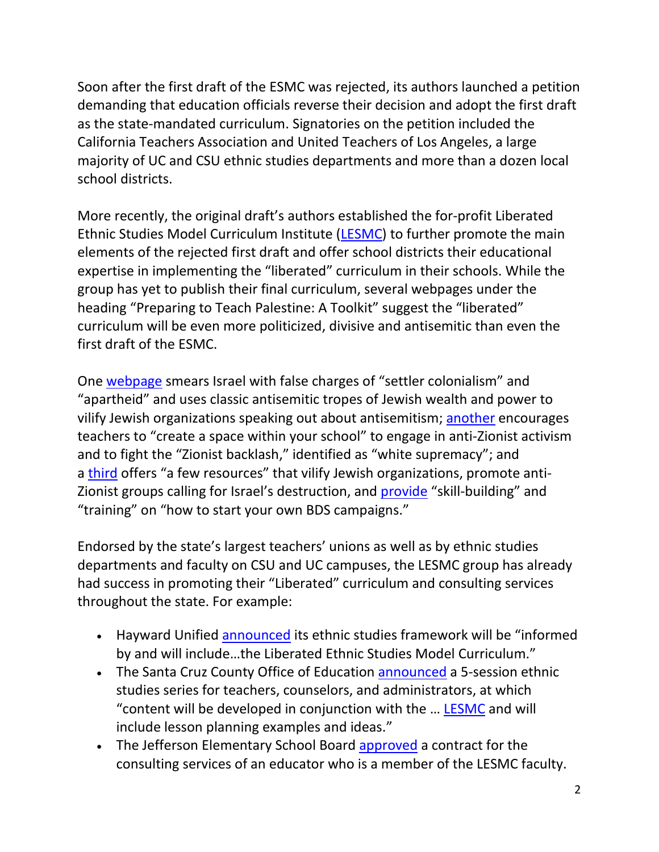Soon after the first draft of the ESMC was rejected, its authors launched a petition demanding that education officials reverse their decision and adopt the first draft as the state-mandated curriculum. Signatories on the petition included the California Teachers Association and United Teachers of Los Angeles, a large majority of UC and CSU ethnic studies departments and more than a dozen local school districts.

More recently, the original draft's authors established the for-profit Liberated Ethnic Studies Model Curriculum Institute [\(LESMC\)](http://www.liberatedethnicstudies.org/) to further promote the main elements of the rejected first draft and offer school districts their educational expertise in implementing the "liberated" curriculum in their schools. While the group has yet to publish their final curriculum, several webpages under the heading "Preparing to Teach Palestine: A Toolkit" suggest the "liberated" curriculum will be even more politicized, divisive and antisemitic than even the first draft of the ESMC.

One [webpage](http://www.liberatedethnicstudies.org/teach-palestine.html) smears Israel with false charges of "settler colonialism" and "apartheid" and uses classic antisemitic tropes of Jewish wealth and power to vilify Jewish organizations speaking out about antisemitism; [another](http://www.liberatedethnicstudies.org/teach-palestine3.html) encourages teachers to "create a space within your school" to engage in anti-Zionist activism and to fight the "Zionist backlash," identified as "white supremacy"; and a [third](http://www.liberatedethnicstudies.org/teach-palestine5.html) offers "a few resources" that vilify Jewish organizations, promote anti-Zionist groups calling for Israel's destruction, and [provide](https://uscpr.org/learn/togetherwerise/) "skill-building" and "training" on "how to start your own BDS campaigns."

Endorsed by the state's largest teachers' unions as well as by ethnic studies departments and faculty on CSU and UC campuses, the LESMC group has already had success in promoting their "Liberated" curriculum and consulting services throughout the state. For example:

- Hayward Unified [announced](https://www.husd.us/pf4/cms2/news_themed_display?id=1624611250631) its ethnic studies framework will be "informed by and will include…the Liberated Ethnic Studies Model Curriculum."
- The Santa Cruz County Office of Education [announced](https://santacruz.k12oms.org/929-207414) a 5-session ethnic studies series for teachers, counselors, and administrators, at which "content will be developed in conjunction with the … [LESMC](http://www.liberatedethnicstudies.org/) and will include lesson planning examples and ideas."
- The Jefferson Elementary School Board [approved](https://simbli.eboardsolutions.com/SB_Meetings/ViewMeeting.aspx?S=36030269&MID=2342) a contract for the consulting services of an educator who is a member of the LESMC faculty.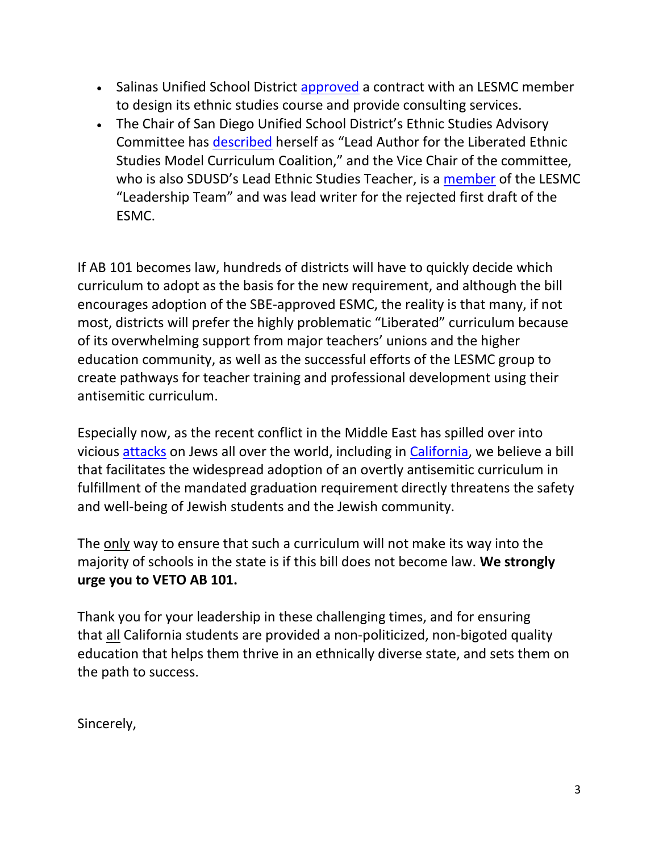- Salinas Unified School District [approved](https://go.boarddocs.com/ca/salinas/Board.nsf/files/C43NQB60D781/$file/Our%20Transformation%20of%20Education%20MOU%20.pdf) a contract with an LESMC member to design its ethnic studies course and provide consulting services.
- The Chair of San Diego Unified School District's Ethnic Studies Advisory Committee has [described](https://education.sdsu.edu/about/dei-ia/diversity/trish-gallagher-geurtsen-miguel-zavala-021821.pdf) herself as "Lead Author for the Liberated Ethnic Studies Model Curriculum Coalition," and the Vice Chair of the committee, who is also SDUSD's Lead Ethnic Studies Teacher, is a [member](http://www.liberatedethnicstudies.org/dr-guillermo-gomez.html) of the LESMC "Leadership Team" and was lead writer for the rejected first draft of the ESMC.

If AB 101 becomes law, hundreds of districts will have to quickly decide which curriculum to adopt as the basis for the new requirement, and although the bill encourages adoption of the SBE-approved ESMC, the reality is that many, if not most, districts will prefer the highly problematic "Liberated" curriculum because of its overwhelming support from major teachers' unions and the higher education community, as well as the successful efforts of the LESMC group to create pathways for teacher training and professional development using their antisemitic curriculum.

Especially now, as the recent conflict in the Middle East has spilled over into vicious [attacks](https://www.nytimes.com/2021/05/26/us/anti-semitism-attacks-violence.html) on Jews all over the world, including in [California,](https://www.latimes.com/california/story/2021-05-30/reaction-to-anti-semitic-attacks-in-los-angeles) we believe a bill that facilitates the widespread adoption of an overtly antisemitic curriculum in fulfillment of the mandated graduation requirement directly threatens the safety and well-being of Jewish students and the Jewish community.

The only way to ensure that such a curriculum will not make its way into the majority of schools in the state is if this bill does not become law. **We strongly urge you to VETO AB 101.**

Thank you for your leadership in these challenging times, and for ensuring that all California students are provided a non-politicized, non-bigoted quality education that helps them thrive in an ethnically diverse state, and sets them on the path to success.

Sincerely,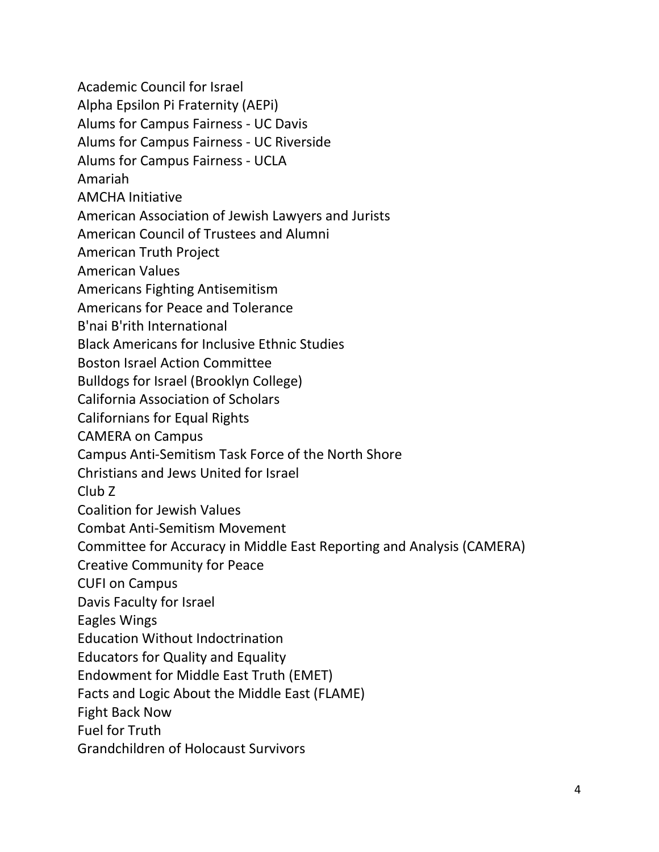Academic Council for Israel

Alpha Epsilon Pi Fraternity (AEPi)

Alums for Campus Fairness - UC Davis

Alums for Campus Fairness - UC Riverside

Alums for Campus Fairness - UCLA

Amariah

AMCHA Initiative

American Association of Jewish Lawyers and Jurists

American Council of Trustees and Alumni

American Truth Project

American Values

Americans Fighting Antisemitism

Americans for Peace and Tolerance

B'nai B'rith International

Black Americans for Inclusive Ethnic Studies

Boston Israel Action Committee

Bulldogs for Israel (Brooklyn College)

California Association of Scholars

Californians for Equal Rights

CAMERA on Campus

Campus Anti-Semitism Task Force of the North Shore

Christians and Jews United for Israel

Club Z

Coalition for Jewish Values

Combat Anti-Semitism Movement

Committee for Accuracy in Middle East Reporting and Analysis (CAMERA)

Creative Community for Peace

CUFI on Campus

Davis Faculty for Israel

Eagles Wings

Education Without Indoctrination

Educators for Quality and Equality

Endowment for Middle East Truth (EMET)

Facts and Logic About the Middle East (FLAME)

Fight Back Now

Fuel for Truth

Grandchildren of Holocaust Survivors